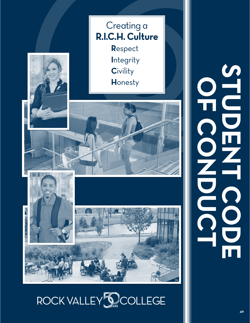

# ROCK VALLEY **SOCOLLEGE**

**student code of conduct** NO CODE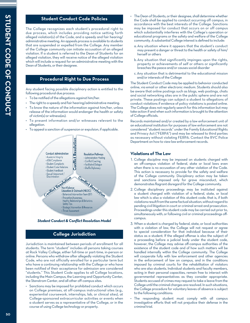# **Student Conduct Code Policies**

The College recognizes each student's procedural right to due process, which includes providing notice setting forth alleged violation(s) of the Code, and a speedy and fair hearing/ administrative meeting. An appeals process is available to students that are suspended or expelled from the College. Any member of the College community can initiate accusation of an alleged violation. If a student is referred to the Dean of Students for an alleged violation, they will receive notice of the alleged violation which will include a request for an administrative meeting with the Dean of Students, or their designee.

## **Procedural Right to Due Process**

Any student facing possible disciplinary action is entitled to the following procedural due process:

- To be notified of the allegations against him/her.
- The right to a speedy and fair hearing/administrative meeting.
- To know the nature of the information against him/her, unless release of the information would endanger the health or safety of victim(s) or witness(es).
- To present information and/or witnesses relevant to the allegation.
- To appeal a sanction of suspension or expulsion, if applicable.



#### *Student Conduct & Conflict Resolution Model*

# **College Jurisdiction**

Jurisdiction is maintained between periods of enrollment for all students. The term "student" includes all persons taking courses at Rock Valley College, either full-time or part-time, in-person or online. Persons who withdraw after allegedly violating the Student Code, who are not officially enrolled for a particular term but who have a continuing relationship with the College or who have been notified of their acceptance for admission are considered "students." This Student Code applies to all College locations, including the Main Campus, the Learning and Opportunity Center, the Stenstrom Center, and all other off-campus sites.

• Sanctions may be imposed for prohibited conduct which occurs on College premises, at off-campus instructional sites (e.g., experiential coursework, internships, lab, or clinical sites), at College-sponsored extracurricular activities or events when a student serves as a representative of the College, or in the course of using College technology or property.

- The Dean of Students, or their designee, shall determine whether the Code shall be applied to conduct occurring off campus, in accordance with the best interests of the College. Sanctions may be imposed for conduct that occurs on or off campus which substantially interferes with the College's operation or educational programs or the safety and welfare of the College community. A substantial College interest is defined to include:
- a. Any situation where it appears that the student's conduct may present a danger or threat to the health or safety of him/ herself or others
- b. Any situation that significantly impinges upon the rights, property or achievements of self or others or significantly breaches the peace and/or causes social disorder
- c. Any situation that is detrimental to the educational mission and/or interests of the College

The Student Conduct Code may be applied to behavior conducted online, via email or other electronic medium. Students should also be aware that online postings such as blogs, web postings, chats and social networking sites are in the public sphere and are not private. These postings can subject a student to allegations of conduct violations if evidence of policy violations is posted online. The College does not regularly search for this information but may take action if and when such information is brought to the attention of College officials.

Records maintained and/or created by a law enforcement unit of an educational institution for purposes of law enforcement are not considered "student records" under the Family Educational Rights and Privacy Act ("FERPA") and may be released to third parties as necessary without violating FERPA. Contact the RVC Police Department on how to view law enforcement records.

## **Violations of The Law**

- 1. College discipline may be imposed on students charged with an off-campus violation of federal, state or local laws even when there is no accusation of any other violation of the Code. This action is necessary to provide for the safety and welfare of the College community. Disciplinary action may be taken and sanctions imposed only for grave misconduct, which demonstrates flagrant disregard for the College community.
- 2. College disciplinary proceedings may be instituted against a student charged with violation of a federal, state, or local law which is also a violation of this student code, that is, if both violations result from the same factual situation, without regard to pending civil litigation in court or criminal arrest and prosecution. Proceedings under this student code may be carried out prior to, simultaneously with, or following civil or criminal proceedings offcampus.
- 3. When a student is charged by federal, state, or local authorities with a violation of law, the College will not request or agree to special consideration for that individual because of their status as a student. If the alleged offense is also the subject of a proceeding before a judicial body under the student code, however, the College may advise off-campus authorities of the existence of the student code and of how such matters will be handled internally within the College community. The College will cooperate fully with law enforcement and other agencies in the enforcement of law on campus, and in the conditions imposed by criminal courts for the rehabilitation of violators who are also students. Individual students and faculty members, acting in their personal capacities, remain free to interact with governmental representatives as they consider appropriate. Students accused of crimes may request to take a leave from the College until the criminal charges are resolved. In such situations, the College procedure for voluntary leaves of absence is subject to the following conditions:
- • The responding student must comply with all campus investigative efforts that will not prejudice their defense in the criminal trial.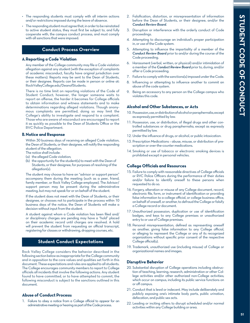- The responding students must comply with all interim actions and/or restrictions imposed during the leave of absence.
- The responding student must agree that, in order to be reinstated to active student status, they must first be subject to, and fully cooperate with, the campus conduct process, and must comply with all sanctions that were imposed.

## **Conduct Process Overview**

#### **A.Reporting a Code Violation**

Any member of the College community may file a Code violation allegation against any student (with the exception of complaints of academic misconduct, faculty have original jurisdiction over these matters). Reports may be sent to the Dean of Students, or their designee. Reports can be made in person or online at: RockValleyCollege.edu/DeanofStudents.

There is no time limit on reporting violations of the Code of Student Conduct; however, the longer someone waits to report an offense, the harder it becomes for College officials to obtain information and witness statements and to make determinations regarding alleged violations. Though anonymous complaints are permitted, doing so may limit the College's ability to investigate and respond to a complaint. Those who are aware of misconduct are encouraged to report it as quickly as possible to the Dean of Students Office or the RVC Police Department.

## **B. Notice and Response**

Within 30 business days of receiving an alleged Code violation, the Dean of Students, or their designee, will notify the responding student of the allegation.

The notice shall include:

- (a) the alleged Code violation;
- (b) the opportunity for the student(s) to meet with the Dean of Students, or their designee, for purposes of resolving of the allegation(s).

The student may choose to have an "advisor or support person" accompany them during the meeting (such as a peer, friend, family member, or Rock Valley College employee). The Advisor/ support person may be present during the administrative meeting, but may not speak for or on behalf of the student.

If the student does not meet with the Dean of Students, or their designee, or chooses not to participate in the process within 10 business days of the notice, the Dean of Students will make a decision without input from the student.

A student against whom a Code violation has been filed and/ or disciplinary charges are pending may have a "hold" placed on their academic record until charges are resolved. A hold will prevent the student from requesting an official transcript, registering for classes or withdrawing, dropping courses, etc.

## **Student Conduct Expectations**

Rock Valley College considers the behavior described in the following section below as inappropriate for the College community and in opposition to the core values and qualities set forth in this document. These expectations and rules are applied to all students. The College encourages community members to report to College officials all incidents that involve the following actions. Any student found to have committed, or to have attempted to commit, the following misconduct is subject to the sanctions outlined in this document.

## **Abuse of Conduct Process:**

1. Failure to obey a notice from a College official to appear for an administrative meeting or hearing as part of the Code process.

- 2. Falsification, distortion, or misrepresentation of information before the Dean of Students, or their designee, and/or the *Conduct Review Board*.
- 3. Disruption or interference with the orderly conduct of Code proceedings.
- 4. Attempting to discourage an individual's proper participation in, or use of the Code system.
- 5. Attempting to influence the impartiality of a member of the *Conduct Review Board* prior to and/or during the course of the Code proceeding.
- 6. Harassment (verbal, written, or physical) and/or intimidation of a member of the *Conduct Review Board* prior to, during, and/or after a Code proceeding.
- 7. Failure to comply with the sanctions(s) imposed under the Code.
- 8. Influencing or attempting to influence another to commit an abuse of the code system.
- 9. Being an accessory to any person on the College campus who violates this code.

#### **Alcohol and Other Substances, or Acts**

- 10. Possession, use, or distribution of alcohol or paraphernalia, except as expressly permitted by law.
- 11. Possession, use, or distribution, of illegal drugs and other controlled substances or drug paraphernalia, except as expressly permitted by law.
- 12. Under the influence of drugs, or alcohol, or public intoxication.
- 13. Prescription Medications abuse, misuse, or distribution of prescription or over-the-counter medications.
- 14. Smoking or use of tobacco or electronic smoking devices is prohibited except in personal vehicles.

## **College Officials and Resources**

- 15. Failure to comply with reasonable directives of College officials or RVC Police Officers during the performance of their duties and/or failure to identify oneself to these persons when requested to do so.
- 16. Forgery, alteration or misuse of any College document, record, electronic file, form, or instrument of identification or providing false information to a college official, or college business office, on behalf of oneself, or another, to defraud the College or falsify a College record or document.
- 17. Unauthorized possession, duplication or use of identification badges, and keys to any College premises or unauthorized entry to or use of College premises.
- 18. Personal misrepresentation, defined as representing oneself as another, giving false information to any College official, or alleging to represent the College or any of its recognized organizations without specific prior consent of the respective College official(s).
- 19. Trademark, unauthorized use (including misuse) of College or organizational names and images.

## **Disruptive Behavior**

- 20. Substantial disruption of College operations including obstruction of teaching, learning, research, administration or other College activities and/or other authorized non-College activities; which occur on campus, including its public service functions on or off campus.
- 21. Conduct that is lewd or indecent. May include deliberately and publicly exposing one's intimate body parts, public urination, defecation, and public sex acts.
- 22. Leading or inciting others to disrupt scheduled and/or normal activities within any College building or area.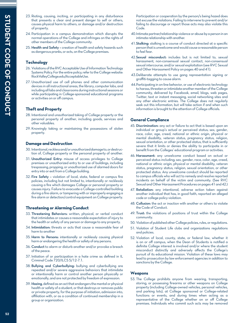- 23. Rioting, causing, inciting, or participating in any disturbance that presents a clear and present danger to self or others, causes physical harm to others, or damage and/or destruction of property.
- 24. Participation in a campus demonstration which disrupts the normal operations of the College and infringes on the rights of other members of the College community.
- 25. Health and Safety creation of health and safety hazards such as dangerous pranks, or acts, on the College premises.

## **Technology**

- 26. Violations of the RVC Acceptable Use of Information Technology Systems Policy. For the entire policy, refer to the College website: RockValleyCollege.edu/AcceptableUse.
- 27. Unauthorized use of cell phones and other communication devices in all instructional areas, the library, computer labs, and including all labs and classrooms during instructional sessions or while participating in College-sponsored educational programs or activities on or off campus.

# **Theft and Property**

- 28. Intentional and unauthorized taking of College property or the personal property of another, including goods, services and other valuables.
- 29. Knowingly taking or maintaining the possessions of stolen property.

# **Damage and Destruction**

- 30. Intentional, reckless and/or unauthorized damage to, or destruction of, College property or the personal property of another.
- 31. Unauthorized Entry: misuse of access privileges to College premises or unauthorized entry to or use of buildings, including trespassing, propping, or unauthorized use of alarmed doors for entry into or exit from a College building.
- 32. Fire Safety violation of local, state, federal or campus fire policies, including but not limited to, intentionally or recklessly causing a fire which damages College or personal property or causes injury. Failure to evacuate a College-controlled building during a fire alarm, or tampering with or improperly engaging a fire alarm or detection/control equipment on College property.

# **Threatening or Alarming Conduct**

- 33. Threatening Behaviors: written, physical, or verbal conduct that intimidates or causes a reasonable expectation of injury to the health or safety of any person or damage to any property.
- 34. Intimidation: threats or acts that cause a reasonable fear of harm to another
- 35. Harm to Persons: intentionally or recklessly causing physical harm or endangering the health or safety of any persons.
- 36. Conduct to alarm or disturb another and/or provoke a breach of the peace.
- 37. Initiation of or participation in a hate crime as defined in IL Criminal Code 720/ILCS 5/12-7.1.
- 38. Bullying and Cyberbullying: bullying and cyberbullying are repeated and/or severe aggressive behaviors that intimidate or intentionally harm or control another person physically or emotionally, and are not protected by freedom of expression.
- 39. Hazing, defined as an act that endangers the mental or physical health or safety of a student, or that destroys or removes public or private property, for the purpose of initiation, admission into, affiliation with, or as a condition of continued membership in a group or organization.

Participation or cooperation by the person/s being hazed does not excuse the violations. Failing to intervene to prevent and/or failing to discourage or report those acts may also violate this Code.

- 40. Intimate partner/relationship violence or abuse by a person in an intimate relationship with another.
- 41. Stalking: stalking is a course of conduct directed at a specific person that is unwelcome and would cause a reasonable person to feel fear.
- 42.Sexual misconduct: includes but is not limited to, sexual harassment, non-consensual sexual contact, non-consensual sexual intercourse, and/or sexual exploitation (see RVC Sexual and Other Harassment Policy on pages 40 and 41).
- 43.Deliberate attempts to use gang representation signing or graffiti-tagging to cause alarm.
- 44.Participating in on-line behavior, or use of electronic technology to harass, threaten or intimidate another member of the College community, delivered by Facebook, email, blogs, web pages, Twitter, text or instant messaging, social networking sites and any other electronic entries. The College does not regularly seek out this information, but will take action if and when such information is brought to the attention of College officials.

# **General Compliance**

- 45. Discrimination: any act or failure to act that is based upon an individual or group's actual or perceived status; sex, gender, race, color, age, creed, national or ethnic origin, physical or mental disability, veteran status, pregnancy status, religion, sexual orientation, or other protected status, that is sufficiently severe that it limits or denies the ability to participate in or benefit from the Colleges' educational program or activities.
- 46. Harassment: any unwelcome conduct based on actual or perceived status including; sex, gender, race, color, age, creed, national or ethnic origin, physical or mental disability, veteran status, pregnancy status, religion, sexual orientation, or other protected status. Any unwelcome conduct should be reported to campus officials who will act to remedy and resolve reported incidents on behalf of the victim and community. (See RVC Sexual and Other Harassment Procedures on pages 41 and 42.)
- 47. Retaliation: any intentional, adverse action taken against another individual that has, in good faith, reported an alleged code or college policy violation.
- 48. Collusion: the act or inaction with another or others to violate the Code of Conduct.
- 49. Trust: the violations of positions of trust within the College community.
- 50. Violation of published other College policies, rules, or regulations.
- 51. Violation of Student Life clubs and organizations regulations and policies.
- 52. Violation of local, county, state, or federal law, whether it is on or off campus, when the Dean of Students is notified a definite College interest is involved and/or where the student misconduct distinctly and adversely affects the College's pursuit of its educational mission. Violation of these laws may lead to prosecution by law enforcement agencies in addition to sanctions by the College.

## **Weapons**

53. The College prohibits anyone from wearing, transporting, storing, or possessing firearms or other weapons on College property (including College-owned vehicles, personal vehicles, and parking lots), at College sponsored or College-related functions or events, and during times when acting as a representative of the College whether on or off College premises. Individuals who commit such acts may be removed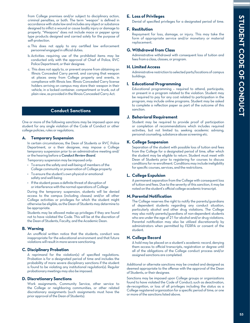from College premises and/or subject to disciplinary action, criminal penalties, or both. The term "weapon" is defined in accordance with state law and includes any object or substance designed to inflict a wound or cause bodily injury or damage to property. "Weapons" does not include mace or pepper spray type products designed and carried solely for the purpose of self-protection.

- a. This does not apply to any certified law enforcement personnel engaged in official duties.
- b. Activities requiring use of the prohibited items may be conducted only with the approval of Chief of Police, RVC Police Department, or their designee.
- c. This does not apply to, or prevent anyone from obtaining an Illinois Concealed Carry permit, and carrying that weapon at places away from College property and events, in compliance with Illinois law. Illinois Concealed Carry license holders arriving on campus may store their weapon in their vehicle, in a locked container, compartment or trunk, out of plain view, as provided in the Illinois Concealed Carry Act.

# **Conduct Sanctions**

One or more of the following sanctions may be imposed upon any student for any single violation of the Code of Conduct or other college policies, rules or regulations.

## **A. Temporary Suspension**

In certain circumstances, the Dean of Students or RVC Police Department, or a their designee, may impose a College temporary suspension prior to an administrative meeting and/ or the hearing before a *Conduct Review Board*.

Temporary suspension may be imposed only:

- To ensure the safety and well-being of members of the College community or preservation of College property
- • To ensure the student's own physical or emotional safety and well-being
- If the student poses a definite threat of disruption of or interference with the normal operations of College

During the temporary suspension, students will be denied access to the campus (including classes) and/or all other College activities or privileges for which the student might otherwise be eligible, as the Dean of Students may determine to be appropriate.

Students may be allowed make-up privileges if they are found not to have violated the Code. This will be at the discretion of the Dean of Students, Faculty, and the Academic Dean.

## **B. Warning**

An unofficial written notice that the students, conduct was inappropriate for the educational environment and that future violations will result in more severe sanctioning.

## **C. Disciplinary Probation**

A reprimand for the violation(s) of specified regulations. Probation is for a designated period of time and includes the probability of more severe disciplinary sanctions if the student is found to be violating any institutional regulation(s). Regular probationary meetings may also be imposed.

## **D. Discretionary Sanctions**

Work assignments, Community Service, other service to the College or neighboring communities, or other related discretionary assignments (such assignments must have the prior approval of the Dean of Students).

# **E. Loss of Privileges**

Denial of specified privileges for a designated period of time.

## **F. Restitution**

Repayment for loss, damage, or injury. This may take the form of appropriate service and/or monetary or material replacement.

## **G. Withdrawal from Class**

Administrative withdrawal with consequent loss of tuition and fees from a class, classes, or program.

## **H. Limited Access**

Administrative restriction to selected parts/locations of campus buildings.

## **I. Educational Programming**

Educational programming – required to attend, participate, or present in a program related to the violation. Student may be required to pay for any cost related to participation in the program, may include online programs. Student may be asked to complete a reflection paper as part of the outcome of this sanction.

#### **J. Behavioral Requirement**

Student may be required to provide proof of participation or completion of recommendations which includes required activities, but not limited to; seeking academic advising, personal counseling, substance abuse screening etc.

#### **K. College Suspension**

Separation of the student with possible loss of tuition and fees from the College for a designated period of time, after which the student may be eligible to return. Student must meet with Dean of Students prior to registering for courses to discuss conditions for re-enrollment. Conditions may include ineligibility for specific courses, services, and the restrictions.

## **L. College Expulsion**

A permanent separation from the College with consequent loss of tuition and fees. Due to the severity of this sanction, it may be noted on the student's official college academic transcript.

#### **M.Parental Notification**

The College reserves the right to notify the parents/guardians of dependent students regarding any conduct situation, particularly alcohol and other drug violations. The College may also notify parents/guardians of non-dependent students who are under the age of 21 for alcohol and/or drug violations. Parental notification may also be utilized discretionarily by administrators when permitted by FERPA or consent of the student.

### **N. College Record**

A hold may be placed on a student's academic record, denying them access to official transcripts, registration or degree until all of the obligations of the College conduct process and/or assigned sanctions are completed.

Additional or alternate sanctions may be created and designed as deemed appropriate to the offense with the approval of the Dean of Students, or their designee.

Sanctions may be imposed upon College groups or organizations found to have violated the Code of Conduct; such as deactivation, de-recognition, or loss of all privileges including the status as a College registered organization for a specific period of time, or one or more of the sanctions listed above.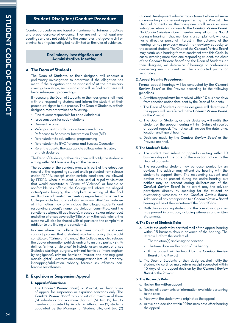# **Student Discipline/Conduct Procedure**

Conduct procedures are based on fundamental fairness practices and preponderance of evidence. They are not formal legal proceedings and are not subject to the same rules that govern civil or criminal hearings including but not limited to, the rules of evidence.

#### **Preliminary Investigation and Administrative Meeting**

## **A. The Dean of Students**

The Dean of Students, or their designee, will conduct a preliminary investigation to determine if the allegation has merit. If the allegation can be disposed of at the preliminary investigation stage, such disposition will be final and there will be no subsequent proceedings.

If necessary, the Dean of Students, or their designee, shall meet with the responding student and inform the student of their procedural rights to due process. The Dean of Students, or their designee, may determine the following:

- $\cdot$  Find student responsible for code violation(s)
- • Issue sanctions for code violations
- Dismiss the case
- Refer parties to conflict resolution or mediation
- Refer case to Behavioral Intervention Team (BIT)
- Refer student to educational programming
- Refer student to RVC Personal and Success Counselor
- Refer the case to the appropriate college administrator, or their designee

The Dean of Students, or their designee, will notify the student in writing within **20** business days of the decision.

The outcome of the conduct process is part of the education record of the responding student and is protected from release under FERPA, except under certain conditions. As allowed by FERPA, when a student is accused of a policy violation that would constitute a "Crime of Violence" or forcible or nonforcible sex offense, the College will inform the alleged victim/party bringing the complaint in writing of the final results of an administrative meeting, regardless of whether the College concludes that a violation was committed. Such release of information may only include the alleged student's and responding student's name, the violation committed, and the sanctions assigned (if applicable). In cases of sexual misconduct and other offenses covered by Title IX, only, the rationale for the outcome will also be shared with all parties to the complaint in addition to the finding and sanction(s).

In cases where the College determines through the student conduct process that a student violated a policy that would constitute a "Crime of Violence," the College may also release the above information publicly and/or to an third party. FERPA defines "crimes of violence" to include: arson, assault offenses (includes stalking), burglary, criminal homicide (manslaughter by negligence), criminal homicide (murder and non-negligent manslaughter), destruction/damage/vandalism of property, kidnapping/abduction, robbery, forcible sex offenses, nonforcible sex offenses.

## **B. Expulsion or Suspension Appeal**

#### **1. Appeal of Sanctions:**

 The *Conduct Review Board*, or Provost, will hear cases of appeal for suspension or expulsion sanctions only. The *Conduct Review Board* may consist of a minimum of three (3) individuals and no more than six (6), two (2) faculty members appointed by Academic Affairs, two (2) students appointed by the Manager of Student Life, and two (2)

Student Development administrators (one of whom will serve as non-voting chairperson) appointed by the Provost. The Dean of Students, or their designee, shall serve as nonvoting Secretary and advisor to the *Conduct Review Board*. No *Conduct Review Board* member may sit on the *Board* during a hearing if that member is a complainant, witness, has a direct or personal interest in the outcome of the hearing, or has previously acted in an advisory capacity to the accused student. The Chair of the *Conduct Review Board* may establish a hearing format consistent with this Code. In cases involving more than one responding student, the chair of the *Conduct Review Board* and the Dean of Students, or their designee, will determine if hearings or conferences concerning each student will be conducted jointly or separately.

#### **2. Appeal Hearing Procedures:**

Formal appeal hearings will be conducted by the *Conduct Review Board* or the Provost according to the following guidelines:

- a. A written appeal must be received within 10 business days from sanction notice date, sent by the Dean of Students.
- b. The Dean of Students, or their designee, will determine if the appeal will be referred to the *Conduct Review Board*, or the Provost.
- c. The Dean of Students, or their designee, will notify the student of the appeal hearing within 15-days of receipt of appeal request. The notice will include the date, time, location and type of hearing.
- d. Decisions made by the *Conduct Review Board* or the Provost, are final.

#### **3. The Student's Role:**

- a. The student must submit an appeal in writing, within 10 business days of the date of the sanction notice, to the Dean of Students.
- b. The responding student may be accompanied by an advisor. The advisor may attend the hearing with the student to support them. The responding student and advisor may be present during the entire hearing, but neither may be present during deliberations of the *Conduct Review Board*. In no event may the advisor participate directly by speaking for the student or questioning witnesses or the *Conduct Review Board*. Admission of any other person to a *Conduct Review Board* hearing will be at the discretion of the Board Chair.
- c. Both the responding student and the complaining parties may present information, including witnesses and written statements.

#### **4. The Dean of Students Role:**

- a. Notify the student by certified mail of the appeal hearing within 15 business days in advance of the hearing. The letter will inform the student of:
	- • The violation(s) and assigned sanction
	- $\cdot$  The time, date, and location of the hearing
	- • If the appeal will be heard by the *Conduct Review Board* or the Provost
- b. The Dean of Students, or their designee, shall notify the student via certified mail, return receipt requested within 15 days of the appeal decision by the *Conduct Review Board* or the Provost.

## **5. The Provost's Role:**

- a. Review the written appeal
- b. Review all documents or information available pertaining to the case
- c. Meet with the student who originated the appeal
- d. Arrive at a decision within 10 business days after hearing the appeal